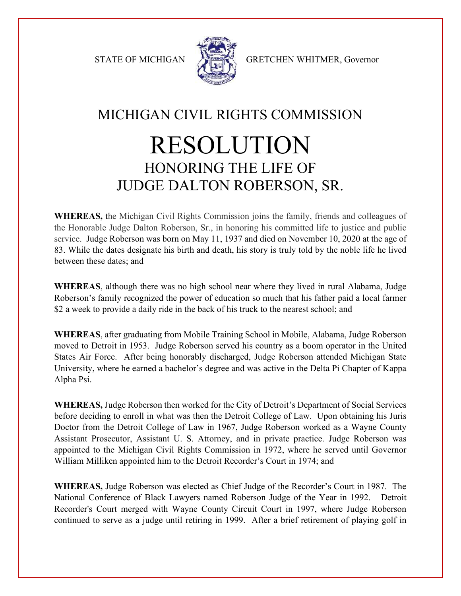

STATE OF MICHIGAN STATE OF MICHIGAN

## MICHIGAN CIVIL RIGHTS COMMISSION RESOLUTION HONORING THE LIFE OF JUDGE DALTON ROBERSON, SR.

**WHEREAS,** the Michigan Civil Rights Commission joins the family, friends and colleagues of the Honorable Judge Dalton Roberson, Sr., in honoring his committed life to justice and public service. Judge Roberson was born on May 11, 1937 and died on November 10, 2020 at the age of 83. While the dates designate his birth and death, his story is truly told by the noble life he lived between these dates; and

**WHEREAS**, although there was no high school near where they lived in rural Alabama, Judge Roberson's family recognized the power of education so much that his father paid a local farmer \$2 a week to provide a daily ride in the back of his truck to the nearest school; and

**WHEREAS**, after graduating from Mobile Training School in Mobile, Alabama, Judge Roberson moved to Detroit in 1953. Judge Roberson served his country as a boom operator in the United States Air Force. After being honorably discharged, Judge Roberson attended Michigan State University, where he earned a bachelor's degree and was active in the Delta Pi Chapter of Kappa Alpha Psi.

**WHEREAS,** Judge Roberson then worked for the City of Detroit's Department of Social Services before deciding to enroll in what was then the Detroit College of Law. Upon obtaining his Juris Doctor from the Detroit College of Law in 1967, Judge Roberson worked as a Wayne County Assistant Prosecutor, Assistant U. S. Attorney, and in private practice. Judge Roberson was appointed to the Michigan Civil Rights Commission in 1972, where he served until Governor William Milliken appointed him to the Detroit Recorder's Court in 1974; and

**WHEREAS,** Judge Roberson was elected as Chief Judge of the Recorder's Court in 1987. The National Conference of Black Lawyers named Roberson Judge of the Year in 1992. Detroit Recorder's Court merged with Wayne County Circuit Court in 1997, where Judge Roberson continued to serve as a judge until retiring in 1999. After a brief retirement of playing golf in